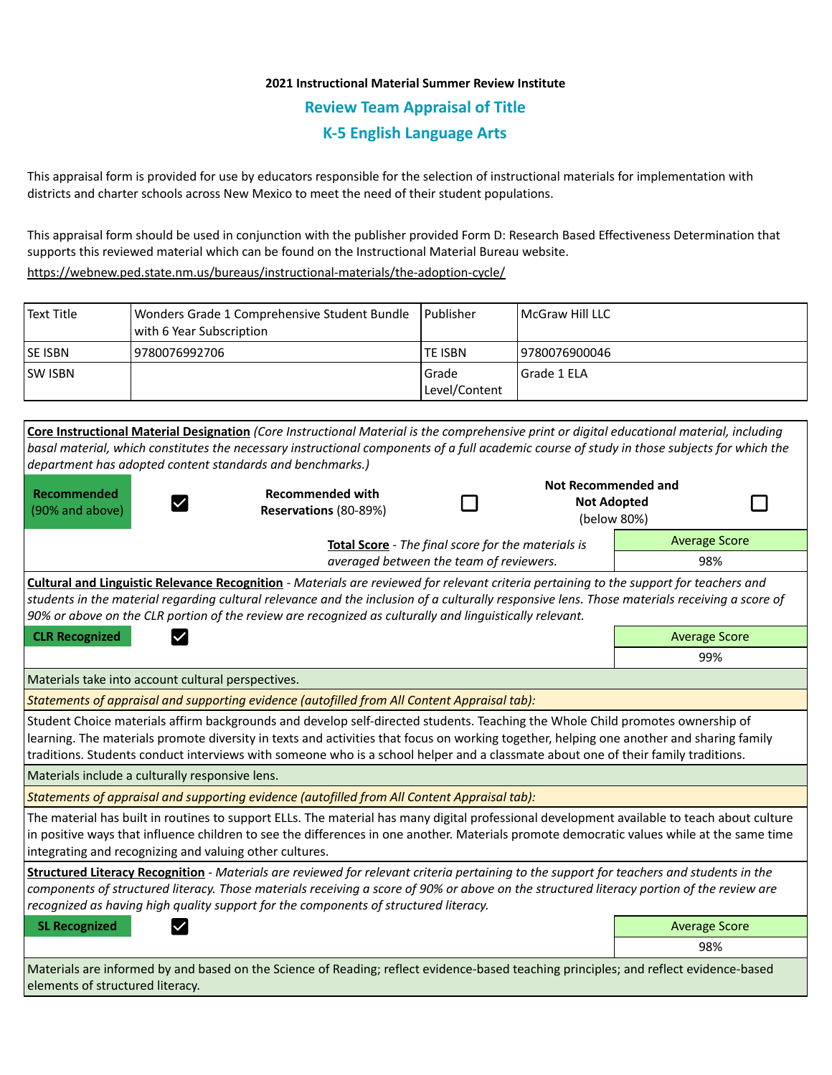## **2021 Instructional Material Summer Review Institute Review Team Appraisal of Title K-5 English Language Arts**

This appraisal form is provided for use by educators responsible for the selection of instructional materials for implementation with districts and charter schools across New Mexico to meet the need of their student populations.

This appraisal form should be used in conjunction with the publisher provided Form D: Research Based Effectiveness Determination that supports this reviewed material which can be found on the Instructional Material Bureau website.

<https://webnew.ped.state.nm.us/bureaus/instructional-materials/the-adoption-cycle/>

| Text Title     | Wonders Grade 1 Comprehensive Student Bundle<br>with 6 Year Subscription | l Publisher              | McGraw Hill LLC |
|----------------|--------------------------------------------------------------------------|--------------------------|-----------------|
| <b>SE ISBN</b> | 9780076992706                                                            | TE ISBN                  | 19780076900046  |
| <b>SW ISBN</b> |                                                                          | l Grade<br>Level/Content | l Grade 1 ELA   |

|                                                                                                                                                                                                                                                                                                                                                                                                                 | Core Instructional Material Designation (Core Instructional Material is the comprehensive print or digital educational material, including                                                                                        |  |                            |                      |  |  |  |  |
|-----------------------------------------------------------------------------------------------------------------------------------------------------------------------------------------------------------------------------------------------------------------------------------------------------------------------------------------------------------------------------------------------------------------|-----------------------------------------------------------------------------------------------------------------------------------------------------------------------------------------------------------------------------------|--|----------------------------|----------------------|--|--|--|--|
|                                                                                                                                                                                                                                                                                                                                                                                                                 | basal material, which constitutes the necessary instructional components of a full academic course of study in those subjects for which the                                                                                       |  |                            |                      |  |  |  |  |
| department has adopted content standards and benchmarks.)                                                                                                                                                                                                                                                                                                                                                       |                                                                                                                                                                                                                                   |  |                            |                      |  |  |  |  |
| <b>Recommended</b>                                                                                                                                                                                                                                                                                                                                                                                              | <b>Recommended with</b><br>$\checkmark$<br>Reservations (80-89%)                                                                                                                                                                  |  | <b>Not Recommended and</b> |                      |  |  |  |  |
| (90% and above)                                                                                                                                                                                                                                                                                                                                                                                                 |                                                                                                                                                                                                                                   |  | <b>Not Adopted</b>         |                      |  |  |  |  |
|                                                                                                                                                                                                                                                                                                                                                                                                                 |                                                                                                                                                                                                                                   |  |                            | (below 80%)          |  |  |  |  |
|                                                                                                                                                                                                                                                                                                                                                                                                                 | <b>Total Score</b> - The final score for the materials is                                                                                                                                                                         |  |                            | <b>Average Score</b> |  |  |  |  |
| averaged between the team of reviewers.                                                                                                                                                                                                                                                                                                                                                                         |                                                                                                                                                                                                                                   |  |                            | 98%                  |  |  |  |  |
|                                                                                                                                                                                                                                                                                                                                                                                                                 | <b>Cultural and Linguistic Relevance Recognition</b> - Materials are reviewed for relevant criteria pertaining to the support for teachers and                                                                                    |  |                            |                      |  |  |  |  |
| students in the material regarding cultural relevance and the inclusion of a culturally responsive lens. Those materials receiving a score of                                                                                                                                                                                                                                                                   |                                                                                                                                                                                                                                   |  |                            |                      |  |  |  |  |
| 90% or above on the CLR portion of the review are recognized as culturally and linguistically relevant.                                                                                                                                                                                                                                                                                                         |                                                                                                                                                                                                                                   |  |                            |                      |  |  |  |  |
| <b>CLR Recognized</b><br>$\checkmark$                                                                                                                                                                                                                                                                                                                                                                           |                                                                                                                                                                                                                                   |  |                            | <b>Average Score</b> |  |  |  |  |
|                                                                                                                                                                                                                                                                                                                                                                                                                 |                                                                                                                                                                                                                                   |  |                            | 99%                  |  |  |  |  |
| Materials take into account cultural perspectives.                                                                                                                                                                                                                                                                                                                                                              |                                                                                                                                                                                                                                   |  |                            |                      |  |  |  |  |
| Statements of appraisal and supporting evidence (autofilled from All Content Appraisal tab):                                                                                                                                                                                                                                                                                                                    |                                                                                                                                                                                                                                   |  |                            |                      |  |  |  |  |
| Student Choice materials affirm backgrounds and develop self-directed students. Teaching the Whole Child promotes ownership of<br>learning. The materials promote diversity in texts and activities that focus on working together, helping one another and sharing family<br>traditions. Students conduct interviews with someone who is a school helper and a classmate about one of their family traditions. |                                                                                                                                                                                                                                   |  |                            |                      |  |  |  |  |
|                                                                                                                                                                                                                                                                                                                                                                                                                 |                                                                                                                                                                                                                                   |  |                            |                      |  |  |  |  |
| Materials include a culturally responsive lens.                                                                                                                                                                                                                                                                                                                                                                 |                                                                                                                                                                                                                                   |  |                            |                      |  |  |  |  |
| Statements of appraisal and supporting evidence (autofilled from All Content Appraisal tab):                                                                                                                                                                                                                                                                                                                    |                                                                                                                                                                                                                                   |  |                            |                      |  |  |  |  |
| The material has built in routines to support ELLs. The material has many digital professional development available to teach about culture<br>in positive ways that influence children to see the differences in one another. Materials promote democratic values while at the same time<br>integrating and recognizing and valuing other cultures.                                                            |                                                                                                                                                                                                                                   |  |                            |                      |  |  |  |  |
|                                                                                                                                                                                                                                                                                                                                                                                                                 | Structured Literacy Recognition - Materials are reviewed for relevant criteria pertaining to the support for teachers and students in the                                                                                         |  |                            |                      |  |  |  |  |
|                                                                                                                                                                                                                                                                                                                                                                                                                 | components of structured literacy. Those materials receiving a score of 90% or above on the structured literacy portion of the review are<br>recognized as having high quality support for the components of structured literacy. |  |                            |                      |  |  |  |  |
| <b>SL Recognized</b>                                                                                                                                                                                                                                                                                                                                                                                            |                                                                                                                                                                                                                                   |  |                            | <b>Average Score</b> |  |  |  |  |
|                                                                                                                                                                                                                                                                                                                                                                                                                 |                                                                                                                                                                                                                                   |  |                            | 98%                  |  |  |  |  |
| Materials are informed by and based on the Science of Reading; reflect evidence-based teaching principles; and reflect evidence-based<br>elements of structured literacy.                                                                                                                                                                                                                                       |                                                                                                                                                                                                                                   |  |                            |                      |  |  |  |  |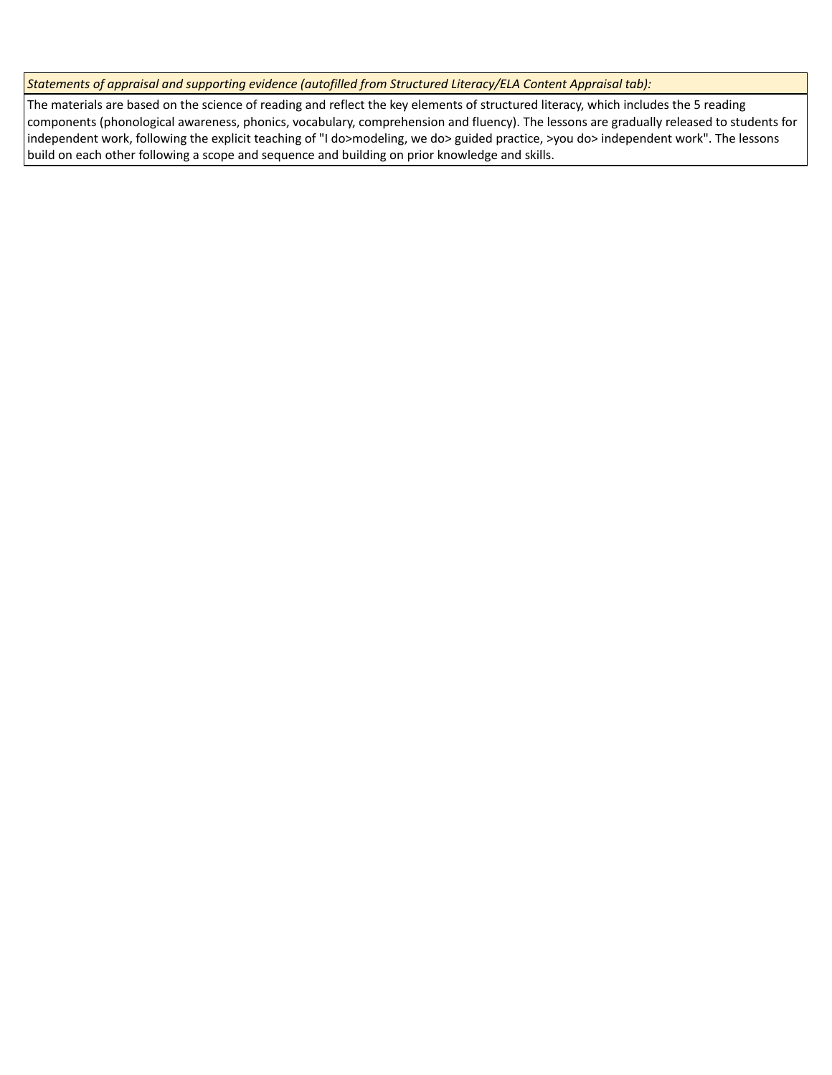*Statements of appraisal and supporting evidence (autofilled from Structured Literacy/ELA Content Appraisal tab):* 

The materials are based on the science of reading and reflect the key elements of structured literacy, which includes the 5 reading components (phonological awareness, phonics, vocabulary, comprehension and fluency). The lessons are gradually released to students for independent work, following the explicit teaching of "I do>modeling, we do> guided practice, >you do> independent work". The lessons build on each other following a scope and sequence and building on prior knowledge and skills.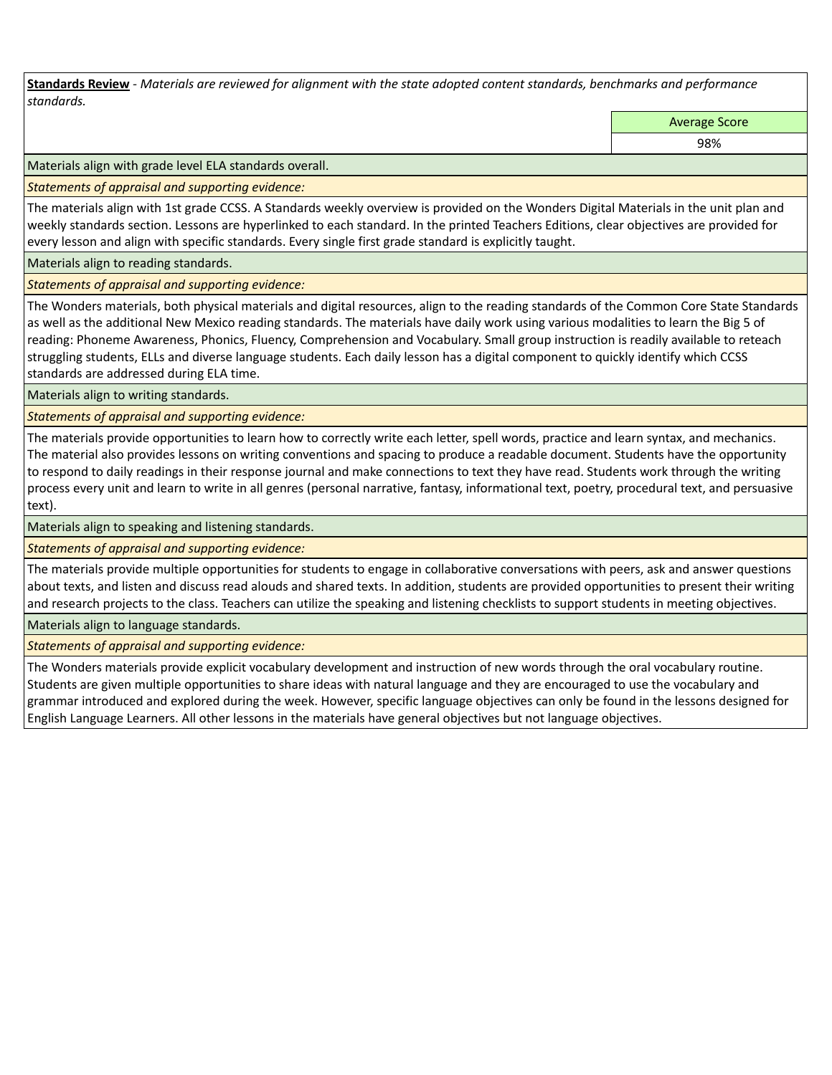**Standards Review** *- Materials are reviewed for alignment with the state adopted content standards, benchmarks and performance standards.*

Average Score

98%

Materials align with grade level ELA standards overall.

*Statements of appraisal and supporting evidence:* 

The materials align with 1st grade CCSS. A Standards weekly overview is provided on the Wonders Digital Materials in the unit plan and weekly standards section. Lessons are hyperlinked to each standard. In the printed Teachers Editions, clear objectives are provided for every lesson and align with specific standards. Every single first grade standard is explicitly taught.

Materials align to reading standards.

*Statements of appraisal and supporting evidence:* 

The Wonders materials, both physical materials and digital resources, align to the reading standards of the Common Core State Standards as well as the additional New Mexico reading standards. The materials have daily work using various modalities to learn the Big 5 of reading: Phoneme Awareness, Phonics, Fluency, Comprehension and Vocabulary. Small group instruction is readily available to reteach struggling students, ELLs and diverse language students. Each daily lesson has a digital component to quickly identify which CCSS standards are addressed during ELA time.

Materials align to writing standards.

*Statements of appraisal and supporting evidence:* 

The materials provide opportunities to learn how to correctly write each letter, spell words, practice and learn syntax, and mechanics. The material also provides lessons on writing conventions and spacing to produce a readable document. Students have the opportunity to respond to daily readings in their response journal and make connections to text they have read. Students work through the writing process every unit and learn to write in all genres (personal narrative, fantasy, informational text, poetry, procedural text, and persuasive text).

Materials align to speaking and listening standards.

*Statements of appraisal and supporting evidence:* 

The materials provide multiple opportunities for students to engage in collaborative conversations with peers, ask and answer questions about texts, and listen and discuss read alouds and shared texts. In addition, students are provided opportunities to present their writing and research projects to the class. Teachers can utilize the speaking and listening checklists to support students in meeting objectives.

Materials align to language standards.

*Statements of appraisal and supporting evidence:* 

The Wonders materials provide explicit vocabulary development and instruction of new words through the oral vocabulary routine. Students are given multiple opportunities to share ideas with natural language and they are encouraged to use the vocabulary and grammar introduced and explored during the week. However, specific language objectives can only be found in the lessons designed for English Language Learners. All other lessons in the materials have general objectives but not language objectives.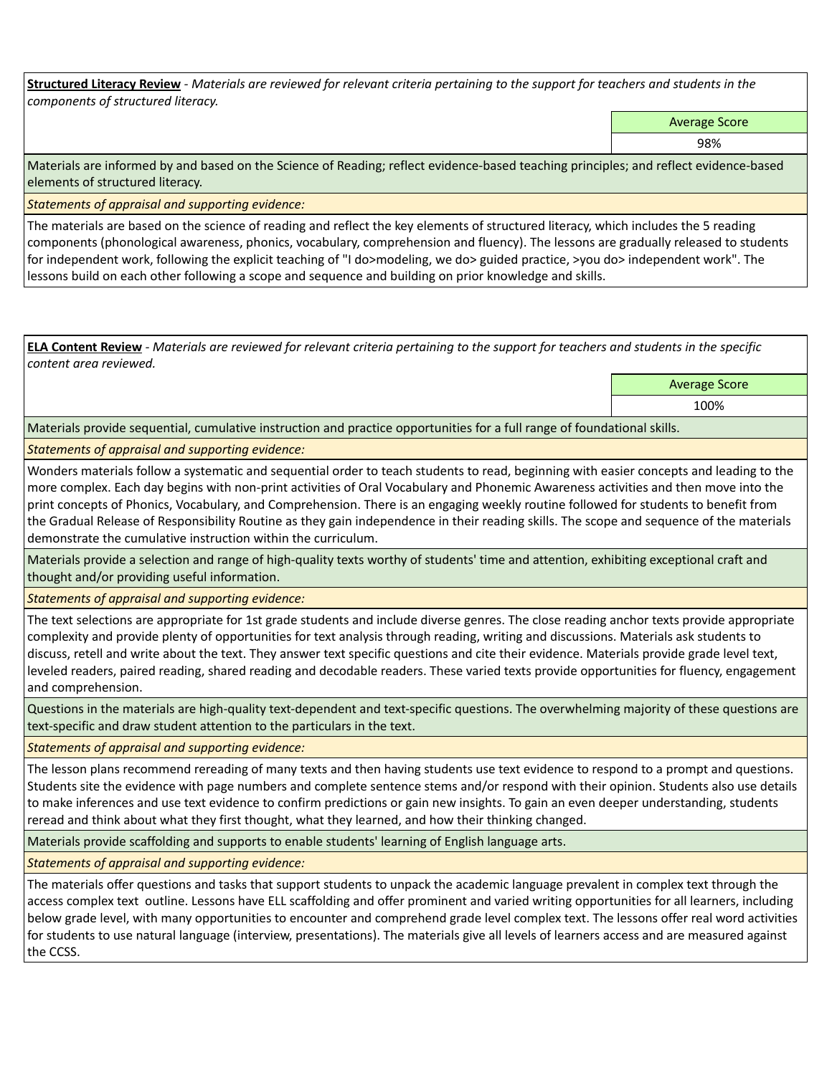**Structured Literacy Review** *- Materials are reviewed for relevant criteria pertaining to the support for teachers and students in the components of structured literacy.*

Average Score

98%

Materials are informed by and based on the Science of Reading; reflect evidence-based teaching principles; and reflect evidence-based elements of structured literacy.

*Statements of appraisal and supporting evidence:*

The materials are based on the science of reading and reflect the key elements of structured literacy, which includes the 5 reading components (phonological awareness, phonics, vocabulary, comprehension and fluency). The lessons are gradually released to students for independent work, following the explicit teaching of "I do>modeling, we do> guided practice, >you do> independent work". The lessons build on each other following a scope and sequence and building on prior knowledge and skills.

**ELA Content Review** *- Materials are reviewed for relevant criteria pertaining to the support for teachers and students in the specific content area reviewed.*

Average Score

100%

Materials provide sequential, cumulative instruction and practice opportunities for a full range of foundational skills.

*Statements of appraisal and supporting evidence:* 

Wonders materials follow a systematic and sequential order to teach students to read, beginning with easier concepts and leading to the more complex. Each day begins with non-print activities of Oral Vocabulary and Phonemic Awareness activities and then move into the print concepts of Phonics, Vocabulary, and Comprehension. There is an engaging weekly routine followed for students to benefit from the Gradual Release of Responsibility Routine as they gain independence in their reading skills. The scope and sequence of the materials demonstrate the cumulative instruction within the curriculum.

Materials provide a selection and range of high-quality texts worthy of students' time and attention, exhibiting exceptional craft and thought and/or providing useful information.

*Statements of appraisal and supporting evidence:* 

The text selections are appropriate for 1st grade students and include diverse genres. The close reading anchor texts provide appropriate complexity and provide plenty of opportunities for text analysis through reading, writing and discussions. Materials ask students to discuss, retell and write about the text. They answer text specific questions and cite their evidence. Materials provide grade level text, leveled readers, paired reading, shared reading and decodable readers. These varied texts provide opportunities for fluency, engagement and comprehension.

Questions in the materials are high-quality text-dependent and text-specific questions. The overwhelming majority of these questions are text-specific and draw student attention to the particulars in the text.

*Statements of appraisal and supporting evidence:* 

The lesson plans recommend rereading of many texts and then having students use text evidence to respond to a prompt and questions. Students site the evidence with page numbers and complete sentence stems and/or respond with their opinion. Students also use details to make inferences and use text evidence to confirm predictions or gain new insights. To gain an even deeper understanding, students reread and think about what they first thought, what they learned, and how their thinking changed.

Materials provide scaffolding and supports to enable students' learning of English language arts.

*Statements of appraisal and supporting evidence:* 

The materials offer questions and tasks that support students to unpack the academic language prevalent in complex text through the access complex text outline. Lessons have ELL scaffolding and offer prominent and varied writing opportunities for all learners, including below grade level, with many opportunities to encounter and comprehend grade level complex text. The lessons offer real word activities for students to use natural language (interview, presentations). The materials give all levels of learners access and are measured against the CCSS.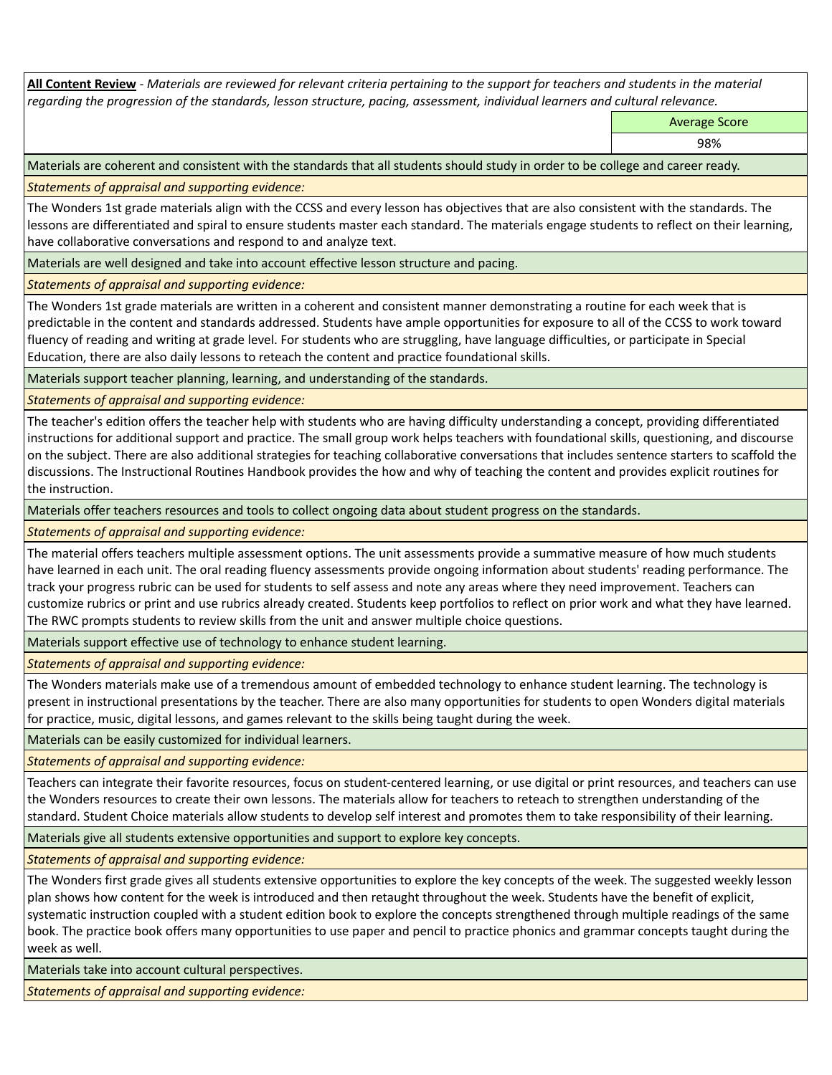**All Content Review** *- Materials are reviewed for relevant criteria pertaining to the support for teachers and students in the material regarding the progression of the standards, lesson structure, pacing, assessment, individual learners and cultural relevance.*

Average Score

98%

Materials are coherent and consistent with the standards that all students should study in order to be college and career ready.

*Statements of appraisal and supporting evidence:*

The Wonders 1st grade materials align with the CCSS and every lesson has objectives that are also consistent with the standards. The lessons are differentiated and spiral to ensure students master each standard. The materials engage students to reflect on their learning, have collaborative conversations and respond to and analyze text.

Materials are well designed and take into account effective lesson structure and pacing.

*Statements of appraisal and supporting evidence:*

The Wonders 1st grade materials are written in a coherent and consistent manner demonstrating a routine for each week that is predictable in the content and standards addressed. Students have ample opportunities for exposure to all of the CCSS to work toward fluency of reading and writing at grade level. For students who are struggling, have language difficulties, or participate in Special Education, there are also daily lessons to reteach the content and practice foundational skills.

Materials support teacher planning, learning, and understanding of the standards.

*Statements of appraisal and supporting evidence:*

The teacher's edition offers the teacher help with students who are having difficulty understanding a concept, providing differentiated instructions for additional support and practice. The small group work helps teachers with foundational skills, questioning, and discourse on the subject. There are also additional strategies for teaching collaborative conversations that includes sentence starters to scaffold the discussions. The Instructional Routines Handbook provides the how and why of teaching the content and provides explicit routines for the instruction.

Materials offer teachers resources and tools to collect ongoing data about student progress on the standards.

*Statements of appraisal and supporting evidence:*

The material offers teachers multiple assessment options. The unit assessments provide a summative measure of how much students have learned in each unit. The oral reading fluency assessments provide ongoing information about students' reading performance. The track your progress rubric can be used for students to self assess and note any areas where they need improvement. Teachers can customize rubrics or print and use rubrics already created. Students keep portfolios to reflect on prior work and what they have learned. The RWC prompts students to review skills from the unit and answer multiple choice questions.

Materials support effective use of technology to enhance student learning.

*Statements of appraisal and supporting evidence:*

The Wonders materials make use of a tremendous amount of embedded technology to enhance student learning. The technology is present in instructional presentations by the teacher. There are also many opportunities for students to open Wonders digital materials for practice, music, digital lessons, and games relevant to the skills being taught during the week.

Materials can be easily customized for individual learners.

*Statements of appraisal and supporting evidence:* 

Teachers can integrate their favorite resources, focus on student-centered learning, or use digital or print resources, and teachers can use the Wonders resources to create their own lessons. The materials allow for teachers to reteach to strengthen understanding of the standard. Student Choice materials allow students to develop self interest and promotes them to take responsibility of their learning.

Materials give all students extensive opportunities and support to explore key concepts.

*Statements of appraisal and supporting evidence:*

The Wonders first grade gives all students extensive opportunities to explore the key concepts of the week. The suggested weekly lesson plan shows how content for the week is introduced and then retaught throughout the week. Students have the benefit of explicit, systematic instruction coupled with a student edition book to explore the concepts strengthened through multiple readings of the same book. The practice book offers many opportunities to use paper and pencil to practice phonics and grammar concepts taught during the week as well.

Materials take into account cultural perspectives.

*Statements of appraisal and supporting evidence:*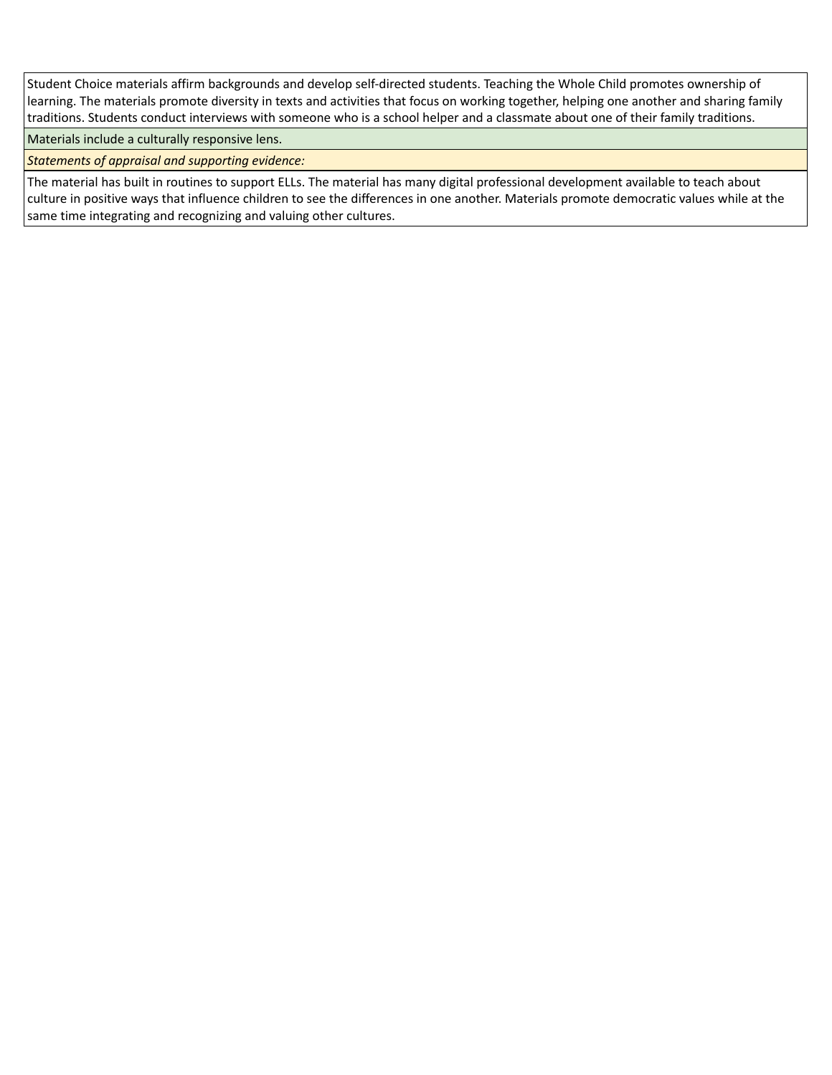Student Choice materials affirm backgrounds and develop self-directed students. Teaching the Whole Child promotes ownership of learning. The materials promote diversity in texts and activities that focus on working together, helping one another and sharing family traditions. Students conduct interviews with someone who is a school helper and a classmate about one of their family traditions.

Materials include a culturally responsive lens.

*Statements of appraisal and supporting evidence:*

The material has built in routines to support ELLs. The material has many digital professional development available to teach about culture in positive ways that influence children to see the differences in one another. Materials promote democratic values while at the same time integrating and recognizing and valuing other cultures.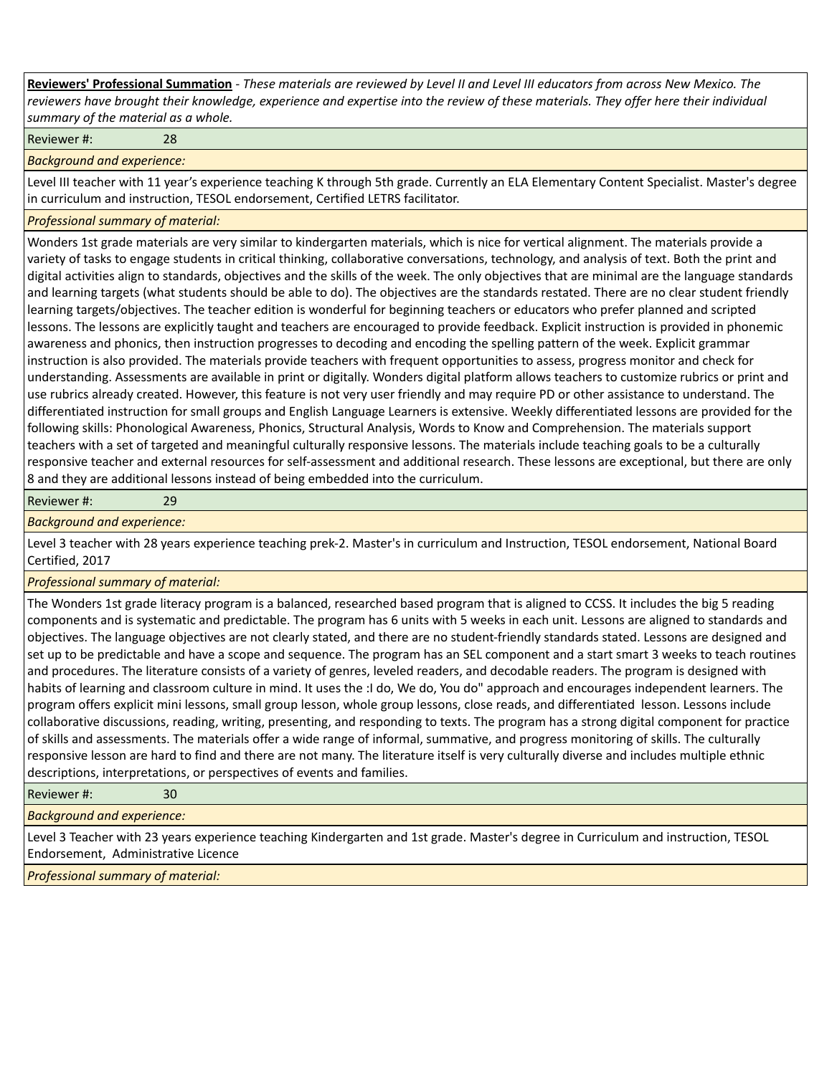**Reviewers' Professional Summation** *- These materials are reviewed by Level II and Level III educators from across New Mexico. The reviewers have brought their knowledge, experience and expertise into the review of these materials. They offer here their individual summary of the material as a whole.*

Reviewer #: 28

*Background and experience:*

Level III teacher with 11 year's experience teaching K through 5th grade. Currently an ELA Elementary Content Specialist. Master's degree in curriculum and instruction, TESOL endorsement, Certified LETRS facilitator.

## *Professional summary of material:*

Wonders 1st grade materials are very similar to kindergarten materials, which is nice for vertical alignment. The materials provide a variety of tasks to engage students in critical thinking, collaborative conversations, technology, and analysis of text. Both the print and digital activities align to standards, objectives and the skills of the week. The only objectives that are minimal are the language standards and learning targets (what students should be able to do). The objectives are the standards restated. There are no clear student friendly learning targets/objectives. The teacher edition is wonderful for beginning teachers or educators who prefer planned and scripted lessons. The lessons are explicitly taught and teachers are encouraged to provide feedback. Explicit instruction is provided in phonemic awareness and phonics, then instruction progresses to decoding and encoding the spelling pattern of the week. Explicit grammar instruction is also provided. The materials provide teachers with frequent opportunities to assess, progress monitor and check for understanding. Assessments are available in print or digitally. Wonders digital platform allows teachers to customize rubrics or print and use rubrics already created. However, this feature is not very user friendly and may require PD or other assistance to understand. The differentiated instruction for small groups and English Language Learners is extensive. Weekly differentiated lessons are provided for the following skills: Phonological Awareness, Phonics, Structural Analysis, Words to Know and Comprehension. The materials support teachers with a set of targeted and meaningful culturally responsive lessons. The materials include teaching goals to be a culturally responsive teacher and external resources for self-assessment and additional research. These lessons are exceptional, but there are only 8 and they are additional lessons instead of being embedded into the curriculum.

Reviewer #: 29

*Background and experience:*

Level 3 teacher with 28 years experience teaching prek-2. Master's in curriculum and Instruction, TESOL endorsement, National Board Certified, 2017

## *Professional summary of material:*

The Wonders 1st grade literacy program is a balanced, researched based program that is aligned to CCSS. It includes the big 5 reading components and is systematic and predictable. The program has 6 units with 5 weeks in each unit. Lessons are aligned to standards and objectives. The language objectives are not clearly stated, and there are no student-friendly standards stated. Lessons are designed and set up to be predictable and have a scope and sequence. The program has an SEL component and a start smart 3 weeks to teach routines and procedures. The literature consists of a variety of genres, leveled readers, and decodable readers. The program is designed with habits of learning and classroom culture in mind. It uses the :I do, We do, You do" approach and encourages independent learners. The program offers explicit mini lessons, small group lesson, whole group lessons, close reads, and differentiated lesson. Lessons include collaborative discussions, reading, writing, presenting, and responding to texts. The program has a strong digital component for practice of skills and assessments. The materials offer a wide range of informal, summative, and progress monitoring of skills. The culturally responsive lesson are hard to find and there are not many. The literature itself is very culturally diverse and includes multiple ethnic descriptions, interpretations, or perspectives of events and families.

Reviewer #: 30

*Background and experience:*

Level 3 Teacher with 23 years experience teaching Kindergarten and 1st grade. Master's degree in Curriculum and instruction, TESOL Endorsement, Administrative Licence

*Professional summary of material:*